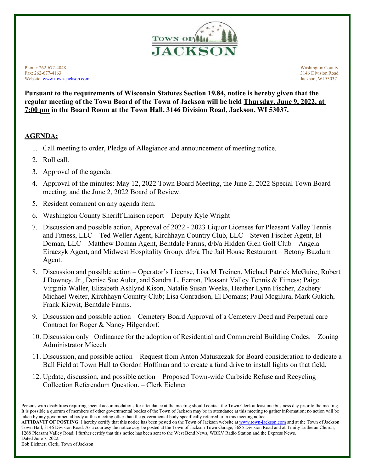

Phone: 262-677-4048 Washington County Fax: 262-677-4163 3146 Division Road Website: [www.town-jackson.com](http://www.town-jackson.com/) Jackson, WI 53037

**Pursuant to the requirements of Wisconsin Statutes Section 19.84, notice is hereby given that the regular meeting of the Town Board of the Town of Jackson will be held Thursday, June 9, 2022, at 7:00 pm in the Board Room at the Town Hall, 3146 Division Road, Jackson, WI 53037.**

## **AGENDA:**

- 1. Call meeting to order, Pledge of Allegiance and announcement of meeting notice.
- 2. Roll call.
- 3. Approval of the agenda.
- 4. Approval of the minutes: May 12, 2022 Town Board Meeting, the June 2, 2022 Special Town Board meeting, and the June 2, 2022 Board of Review.
- 5. Resident comment on any agenda item.
- 6. Washington County Sheriff Liaison report Deputy Kyle Wright
- 7. Discussion and possible action, Approval of 2022 2023 Liquor Licenses for Pleasant Valley Tennis and Fitness, LLC – Ted Weller Agent, Kirchhayn Country Club, LLC – Steven Fischer Agent, El Doman, LLC – Matthew Doman Agent, Bentdale Farms, d/b/a Hidden Glen Golf Club – Angela Eiraczyk Agent, and Midwest Hospitality Group, d/b/a The Jail House Restaurant – Betony Buzdum Agent.
- 8. Discussion and possible action Operator's License, Lisa M Treinen, Michael Patrick McGuire, Robert J Downey, Jr., Denise Sue Auler, and Sandra L. Ferron, Pleasant Valley Tennis & Fitness; Paige Virginia Waller, Elizabeth Ashlynd Kison, Natalie Susan Weeks, Heather Lynn Fischer, Zachery Michael Welter, Kirchhayn Country Club; Lisa Conradson, El Domans; Paul Mcgilura, Mark Gukich, Frank Kiewit, Bentdale Farms.
- 9. Discussion and possible action Cemetery Board Approval of a Cemetery Deed and Perpetual care Contract for Roger & Nancy Hilgendorf.
- 10. Discussion only– Ordinance for the adoption of Residential and Commercial Building Codes. Zoning Administrator Micech
- 11. Discussion, and possible action Request from Anton Matuszczak for Board consideration to dedicate a Ball Field at Town Hall to Gordon Hoffman and to create a fund drive to install lights on that field.
- 12. Update, discussion, and possible action Proposed Town-wide Curbside Refuse and Recycling Collection Referendum Question. – Clerk Eichner

AFFIDAVIT OF POSTING: I hereby certify that this notice has been posted on the Town of Jackson website a[t www.town-jackson.com](http://www.town-jackson.com/) and at the Town of Jackson Town Hall, 3146 Division Road. As a courtesy the notice *may* be posted at the Town of Jackson Town Garage, 3685 Division Road and at Trinity Lutheran Church, 1268 Pleasant Valley Road. I further certify that this notice has been sent to the West Bend News, WBKV Radio Station and the Express News. Dated June 7, 2022.

Bob Eichner, Clerk, Town of Jackson

Persons with disabilities requiring special accommodations for attendance at the meeting should contact the Town Clerk at least one business day prior to the meeting. It is possible a quorum of members of other governmental bodies of the Town of Jackson may be in attendance at this meeting to gather information; no action will be taken by any governmental body at this meeting other than the governmental body specifically referred to in this meeting notice.